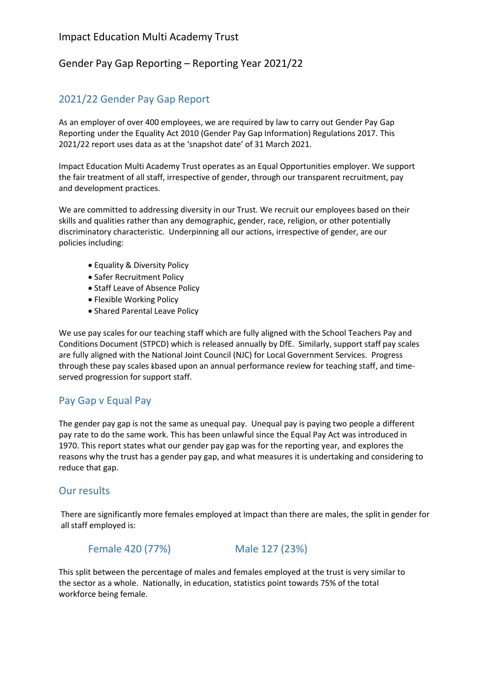## Gender Pay Gap Reporting – Reporting Year 2021/22

# 2021/22 Gender Pay Gap Report

As an employer of over 400 employees, we are required by law to carry out Gender Pay Gap Reporting under the Equality Act 2010 (Gender Pay Gap Information) Regulations 2017. This 2021/22 report uses data as at the 'snapshot date' of 31 March 2021.

Impact Education Multi Academy Trust operates as an Equal Opportunities employer. We support the fair treatment of all staff, irrespective of gender, through our transparent recruitment, pay and development practices.

We are committed to addressing diversity in our Trust. We recruit our employees based on their skills and qualities rather than any demographic, gender, race, religion, or other potentially discriminatory characteristic. Underpinning all our actions, irrespective of gender, are our policies including:

- Equality & Diversity Policy
- Safer Recruitment Policy
- Staff Leave of Absence Policy
- Flexible Working Policy
- Shared Parental Leave Policy

We use pay scales for our teaching staff which are fully aligned with the School Teachers Pay and Conditions Document (STPCD) which is released annually by DfE. Similarly, support staff pay scales are fully aligned with the National Joint Council (NJC) for Local Government Services. Progress through these pay scales isbased upon an annual performance review for teaching staff, and timeserved progression for support staff.

# Pay Gap v Equal Pay

The gender pay gap is not the same as unequal pay. Unequal pay is paying two people a different pay rate to do the same work. This has been unlawful since the Equal Pay Act was introduced in 1970. This report states what our gender pay gap was for the reporting year, and explores the reasons why the trust has a gender pay gap, and what measures it is undertaking and considering to reduce that gap.

#### Our results

There are significantly more females employed at Impact than there are males, the split in gender for all staff employed is:

#### Female 420 (77%) Male 127 (23%)

This split between the percentage of males and females employed at the trust is very similar to the sector as a whole. Nationally, in education, statistics point towards 75% of the total workforce being female.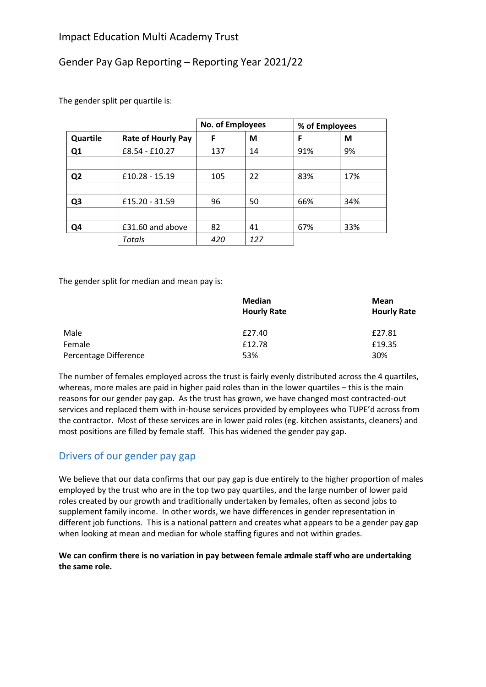# Gender Pay Gap Reporting – Reporting Year 2021/22

The gender split per quartile is:

|                |                           | No. of Employees |     | % of Employees |     |
|----------------|---------------------------|------------------|-----|----------------|-----|
| Quartile       | <b>Rate of Hourly Pay</b> | F                | М   | F              | M   |
| Q <sub>1</sub> | £8.54 - £10.27            | 137              | 14  | 91%            | 9%  |
|                |                           |                  |     |                |     |
| Q <sub>2</sub> | £10.28 - 15.19            | 105              | 22  | 83%            | 17% |
|                |                           |                  |     |                |     |
| Q <sub>3</sub> | £15.20 - 31.59            | 96               | 50  | 66%            | 34% |
|                |                           |                  |     |                |     |
| Q4             | £31.60 and above          | 82               | 41  | 67%            | 33% |
|                | Totals                    | 420              | 127 |                |     |

The gender split for median and mean pay is:

|                       | <b>Median</b><br><b>Hourly Rate</b> | Mean<br><b>Hourly Rate</b> |
|-----------------------|-------------------------------------|----------------------------|
| Male                  | £27.40                              | £27.81                     |
| Female                | £12.78                              | £19.35                     |
| Percentage Difference | 53%                                 | 30%                        |

The number of females employed across the trust is fairly evenly distributed across the 4 quartiles, whereas, more males are paid in higher paid roles than in the lower quartiles – this is the main reasons for our gender pay gap. As the trust has grown, we have changed most contracted-out services and replaced them with in-house services provided by employees who TUPE'd across from the contractor. Most of these services are in lower paid roles (eg. kitchen assistants, cleaners) and most positions are filled by female staff. This has widened the gender pay gap.

# Drivers of our gender pay gap

We believe that our data confirms that our pay gap is due entirely to the higher proportion of males employed by the trust who are in the top two pay quartiles, and the large number of lower paid roles created by our growth and traditionally undertaken by females, often as second jobs to supplement family income. In other words, we have differences in gender representation in different job functions. This is a national pattern and creates what appears to be a gender pay gap when looking at mean and median for whole staffing figures and not within grades.

#### We can confirm there is no variation in pay between female admale staff who are undertaking **the same role.**